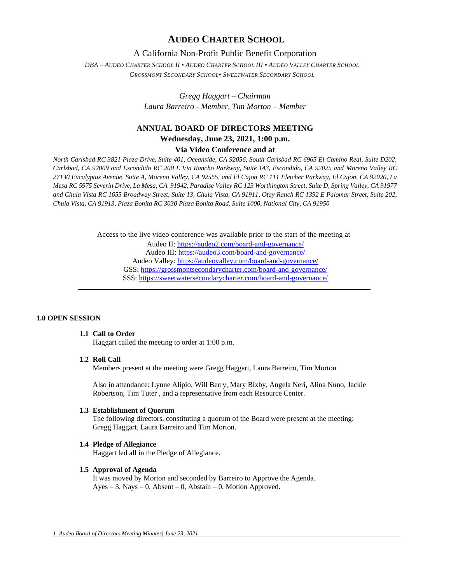# **AUDEO CHARTER SCHOOL**

# A California Non-Profit Public Benefit Corporation

DBA - AUDEO CHARTER SCHOOL II . AUDEO CHARTER SCHOOL III . AUDEO VALLEY CHARTER SCHOOL *GROSSMONT SECONDARY SCHOOL▪ SWEETWATER SECONDARY SCHOOL*

> *Gregg Haggart – Chairman Laura Barreiro - Member, Tim Morton – Member*

# **ANNUAL BOARD OF DIRECTORS MEETING Wednesday, June 23, 2021, 1:00 p.m.**

# **Via Video Conference and at**

*North Carlsbad RC 3821 Plaza Drive, Suite 401, Oceanside, CA 92056, South Carlsbad RC 6965 El Camino Real, Suite D202, Carlsbad, CA 92009 and Escondido RC 200 E Via Rancho Parkway, Suite 143, Escondido, CA 92025 and Moreno Valley RC 27130 Eucalyptus Avenue, Suite A, Moreno Valley, CA 92555, and El Cajon RC 111 Fletcher Parkway, El Cajon, CA 92020, La Mesa RC 5975 Severin Drive, La Mesa, CA 91942, Paradise Valley RC 123 Worthington Street, Suite D, Spring Valley, CA 91977 and Chula Vista RC 1655 Broadway Street, Suite 13, Chula Vista, CA 91911, Otay Ranch RC 1392 E Palomar Street, Suite 202, Chula Vista, CA 91913, Plaza Bonita RC 3030 Plaza Bonita Road, Suite 1000, National City, CA 91950*

> Access to the live video conference was available prior to the start of the meeting at Audeo II[: https://audeo2.com/board-and-governance/](https://audeo2.com/board-and-governance/) Audeo III:<https://audeo3.com/board-and-governance/> Audeo Valley:<https://audeovalley.com/board-and-governance/> GSS:<https://grossmontsecondarycharter.com/board-and-governance/> SSS:<https://sweetwatersecondarycharter.com/board-and-governance/>

### **1.0 OPEN SESSION**

# **1.1 Call to Order**

Haggart called the meeting to order at 1:00 p.m.

### **1.2 Roll Call**

Members present at the meeting were Gregg Haggart, Laura Barreiro, Tim Morton

Also in attendance: Lynne Alipio, Will Berry, Mary Bixby, Angela Neri, Alina Nuno, Jackie Robertson, Tim Tuter , and a representative from each Resource Center.

### **1.3 Establishment of Quorum**

The following directors, constituting a quorum of the Board were present at the meeting: Gregg Haggart, Laura Barreiro and Tim Morton.

#### **1.4 Pledge of Allegiance**

Haggart led all in the Pledge of Allegiance.

### **1.5 Approval of Agenda**

It was moved by Morton and seconded by Barreiro to Approve the Agenda.  $Ayes - 3$ , Nays – 0, Absent – 0, Abstain – 0, Motion Approved.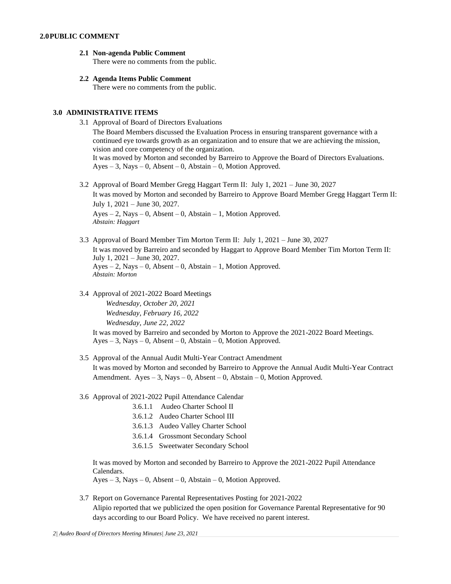- **2.1 Non-agenda Public Comment** There were no comments from the public.
- **2.2 Agenda Items Public Comment** There were no comments from the public.

#### **3.0 ADMINISTRATIVE ITEMS**

3.1 Approval of Board of Directors Evaluations

The Board Members discussed the Evaluation Process in ensuring transparent governance with a continued eye towards growth as an organization and to ensure that we are achieving the mission, vision and core competency of the organization. It was moved by Morton and seconded by Barreiro to Approve the Board of Directors Evaluations.  $Ayes - 3$ , Nays  $- 0$ , Absent  $- 0$ , Abstain  $- 0$ , Motion Approved.

- 3.2 Approval of Board Member Gregg Haggart Term II: July 1, 2021 June 30, 2027 It was moved by Morton and seconded by Barreiro to Approve Board Member Gregg Haggart Term II: July 1, 2021 – June 30, 2027.  $Ayes - 2$ , Nays – 0, Absent – 0, Abstain – 1, Motion Approved. *Abstain: Haggart*
- 3.3 Approval of Board Member Tim Morton Term II: July 1, 2021 June 30, 2027 It was moved by Barreiro and seconded by Haggart to Approve Board Member Tim Morton Term II: July 1, 2021 – June 30, 2027.  $Ayes - 2$ , Nays – 0, Absent – 0, Abstain – 1, Motion Approved. *Abstain: Morton*
- 3.4 Approval of 2021-2022 Board Meetings

*Wednesday, October 20, 2021 Wednesday, February 16, 2022 Wednesday, June 22, 2022*

It was moved by Barreiro and seconded by Morton to Approve the 2021-2022 Board Meetings.  $Ayes - 3$ , Nays – 0, Absent – 0, Abstain – 0, Motion Approved.

- 3.5 Approval of the Annual Audit Multi-Year Contract Amendment It was moved by Morton and seconded by Barreiro to Approve the Annual Audit Multi-Year Contract Amendment.  $Ayes - 3$ ,  $Nays - 0$ ,  $Absent - 0$ ,  $Abstain - 0$ ,  $Motion$  Approved.
- 3.6 Approval of 2021-2022 Pupil Attendance Calendar
	- 3.6.1.1 Audeo Charter School II
	- 3.6.1.2 Audeo Charter School III
	- 3.6.1.3 Audeo Valley Charter School
	- 3.6.1.4 Grossmont Secondary School
	- 3.6.1.5 Sweetwater Secondary School

It was moved by Morton and seconded by Barreiro to Approve the 2021-2022 Pupil Attendance Calendars.

 $Ayes - 3$ , Nays – 0, Absent – 0, Abstain – 0, Motion Approved.

3.7 Report on Governance Parental Representatives Posting for 2021-2022 Alipio reported that we publicized the open position for Governance Parental Representative for 90 days according to our Board Policy. We have received no parent interest.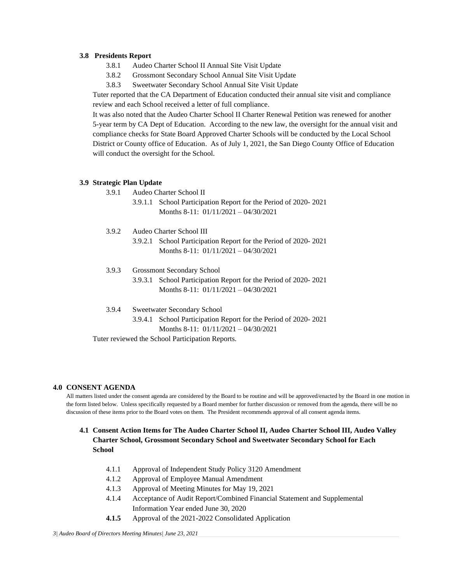### **3.8 Presidents Report**

- 3.8.1 Audeo Charter School II Annual Site Visit Update
- 3.8.2 Grossmont Secondary School Annual Site Visit Update
- 3.8.3 Sweetwater Secondary School Annual Site Visit Update

Tuter reported that the CA Department of Education conducted their annual site visit and compliance review and each School received a letter of full compliance.

It was also noted that the Audeo Charter School II Charter Renewal Petition was renewed for another 5-year term by CA Dept of Education. According to the new law, the oversight for the annual visit and compliance checks for State Board Approved Charter Schools will be conducted by the Local School District or County office of Education. As of July 1, 2021, the San Diego County Office of Education will conduct the oversight for the School.

### **3.9 Strategic Plan Update**

- 3.9.1 Audeo Charter School II
	- 3.9.1.1 School Participation Report for the Period of 2020- 2021 Months 8-11: 01/11/2021 – 04/30/2021
- 3.9.2 Audeo Charter School III
	- 3.9.2.1 School Participation Report for the Period of 2020- 2021 Months 8-11: 01/11/2021 – 04/30/2021
- 3.9.3 Grossmont Secondary School 3.9.3.1 School Participation Report for the Period of 2020- 2021 Months 8-11: 01/11/2021 – 04/30/2021
- 3.9.4 Sweetwater Secondary School
	- 3.9.4.1 School Participation Report for the Period of 2020- 2021 Months 8-11: 01/11/2021 – 04/30/2021

Tuter reviewed the School Participation Reports.

### **4.0 CONSENT AGENDA**

All matters listed under the consent agenda are considered by the Board to be routine and will be approved/enacted by the Board in one motion in the form listed below. Unless specifically requested by a Board member for further discussion or removed from the agenda, there will be no discussion of these items prior to the Board votes on them. The President recommends approval of all consent agenda items.

# **4.1 Consent Action Items for The Audeo Charter School II, Audeo Charter School III, Audeo Valley Charter School, Grossmont Secondary School and Sweetwater Secondary School for Each School**

- 4.1.1 Approval of Independent Study Policy 3120 Amendment
- 4.1.2 Approval of Employee Manual Amendment
- 4.1.3 Approval of Meeting Minutes for May 19, 2021
- 4.1.4 Acceptance of Audit Report/Combined Financial Statement and Supplemental Information Year ended June 30, 2020
- **4.1.5** Approval of the 2021-2022 Consolidated Application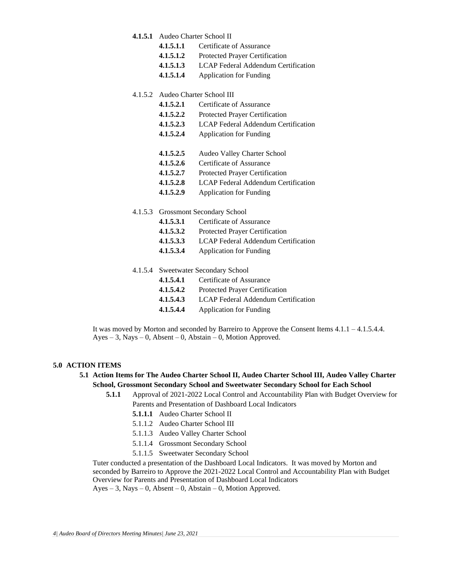### **4.1.5.1** Audeo Charter School II

- **4.1.5.1.1** Certificate of Assurance
- **4.1.5.1.2** Protected Prayer Certification
- **4.1.5.1.3** LCAP Federal Addendum Certification
- **4.1.5.1.4** Application for Funding

### 4.1.5.2 Audeo Charter School III

- **4.1.5.2.1** Certificate of Assurance
- **4.1.5.2.2** Protected Prayer Certification
- **4.1.5.2.3** LCAP Federal Addendum Certification
- **4.1.5.2.4** Application for Funding
- **4.1.5.2.5** Audeo Valley Charter School
- **4.1.5.2.6** Certificate of Assurance
- **4.1.5.2.7** Protected Prayer Certification
- **4.1.5.2.8** LCAP Federal Addendum Certification
- **4.1.5.2.9** Application for Funding

### 4.1.5.3 Grossmont Secondary School

- **4.1.5.3.1** Certificate of Assurance
- **4.1.5.3.2** Protected Prayer Certification
- **4.1.5.3.3** LCAP Federal Addendum Certification
- **4.1.5.3.4** Application for Funding
- 4.1.5.4 Sweetwater Secondary School
	- **4.1.5.4.1** Certificate of Assurance
	- **4.1.5.4.2** Protected Prayer Certification
	- **4.1.5.4.3** LCAP Federal Addendum Certification
	- **4.1.5.4.4** Application for Funding

It was moved by Morton and seconded by Barreiro to Approve the Consent Items 4.1.1 – 4.1.5.4.4.  $Ayes - 3$ , Nays – 0, Absent – 0, Abstain – 0, Motion Approved.

# **5.0 ACTION ITEMS**

# **5.1 Action Items for The Audeo Charter School II, Audeo Charter School III, Audeo Valley Charter School, Grossmont Secondary School and Sweetwater Secondary School for Each School**

- **5.1.1** Approval of 2021-2022 Local Control and Accountability Plan with Budget Overview for Parents and Presentation of Dashboard Local Indicators
	- **5.1.1.1** Audeo Charter School II
	- 5.1.1.2 Audeo Charter School III
	- 5.1.1.3 Audeo Valley Charter School
	- 5.1.1.4 Grossmont Secondary School
	- 5.1.1.5 Sweetwater Secondary School

Tuter conducted a presentation of the Dashboard Local Indicators. It was moved by Morton and seconded by Barreiro to Approve the 2021-2022 Local Control and Accountability Plan with Budget Overview for Parents and Presentation of Dashboard Local Indicators  $Ayes - 3$ , Nays – 0, Absent – 0, Abstain – 0, Motion Approved.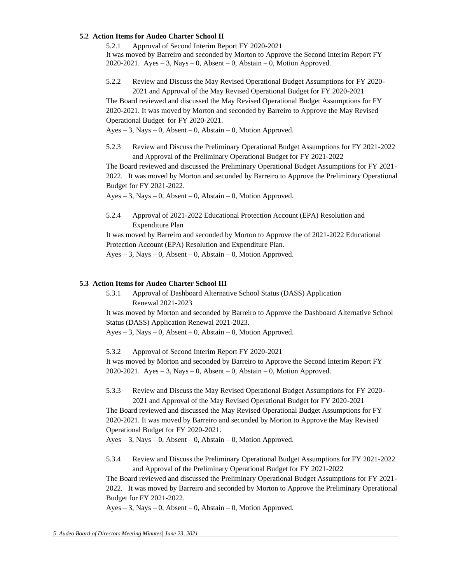### **5.2 Action Items for Audeo Charter School II**

5.2.1 Approval of Second Interim Report FY 2020-2021

It was moved by Barreiro and seconded by Morton to Approve the Second Interim Report FY 2020-2021. Ayes – 3, Nays – 0, Absent – 0, Abstain – 0, Motion Approved.

5.2.2 Review and Discuss the May Revised Operational Budget Assumptions for FY 2020- 2021 and Approval of the May Revised Operational Budget for FY 2020-2021

The Board reviewed and discussed the May Revised Operational Budget Assumptions for FY 2020-2021. It was moved by Morton and seconded by Barreiro to Approve the May Revised Operational Budget for FY 2020-2021.

 $Ayes - 3$ , Nays – 0, Absent – 0, Abstain – 0, Motion Approved.

5.2.3 Review and Discuss the Preliminary Operational Budget Assumptions for FY 2021-2022 and Approval of the Preliminary Operational Budget for FY 2021-2022

The Board reviewed and discussed the Preliminary Operational Budget Assumptions for FY 2021- 2022. It was moved by Morton and seconded by Barreiro to Approve the Preliminary Operational Budget for FY 2021-2022.

Ayes – 3, Nays – 0, Absent – 0, Abstain – 0, Motion Approved.

5.2.4 Approval of 2021-2022 Educational Protection Account (EPA) Resolution and Expenditure Plan

It was moved by Barreiro and seconded by Morton to Approve the of 2021-2022 Educational Protection Account (EPA) Resolution and Expenditure Plan.

 $Ayes - 3$ , Nays  $-0$ , Absent  $-0$ , Abstain  $-0$ , Motion Approved.

### **5.3 Action Items for Audeo Charter School III**

5.3.1 Approval of Dashboard Alternative School Status (DASS) Application Renewal 2021-2023

It was moved by Morton and seconded by Barreiro to Approve the Dashboard Alternative School Status (DASS) Application Renewal 2021-2023.

 $Ayes - 3$ , Nays  $-0$ , Absent  $-0$ , Abstain  $-0$ , Motion Approved.

5.3.2 Approval of Second Interim Report FY 2020-2021

It was moved by Morton and seconded by Barreiro to Approve the Second Interim Report FY 2020-2021. Ayes  $-3$ , Nays  $-0$ , Absent  $-0$ , Abstain  $-0$ , Motion Approved.

5.3.3 Review and Discuss the May Revised Operational Budget Assumptions for FY 2020- 2021 and Approval of the May Revised Operational Budget for FY 2020-2021

The Board reviewed and discussed the May Revised Operational Budget Assumptions for FY 2020-2021. It was moved by Barreiro and seconded by Morton to Approve the May Revised Operational Budget for FY 2020-2021.

 $Ayes - 3$ , Nays – 0, Absent – 0, Abstain – 0, Motion Approved.

5.3.4 Review and Discuss the Preliminary Operational Budget Assumptions for FY 2021-2022 and Approval of the Preliminary Operational Budget for FY 2021-2022

The Board reviewed and discussed the Preliminary Operational Budget Assumptions for FY 2021- 2022. It was moved by Barreiro and seconded by Morton to Approve the Preliminary Operational Budget for FY 2021-2022.

 $Ayes - 3$ , Nays – 0, Absent – 0, Abstain – 0, Motion Approved.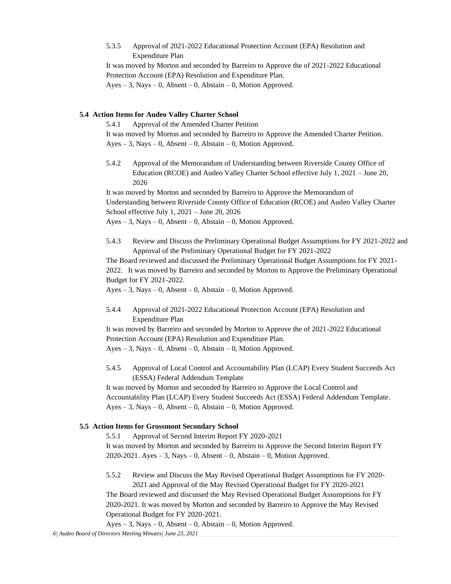5.3.5 Approval of 2021-2022 Educational Protection Account (EPA) Resolution and Expenditure Plan

It was moved by Morton and seconded by Barreiro to Approve the of 2021-2022 Educational Protection Account (EPA) Resolution and Expenditure Plan.  $Ayes - 3$ , Nays – 0, Absent – 0, Abstain – 0, Motion Approved.

### **5.4 Action Items for Audeo Valley Charter School**

5.4.1 Approval of the Amended Charter Petition It was moved by Morton and seconded by Barreiro to Approve the Amended Charter Petition. Ayes – 3, Nays – 0, Absent – 0, Abstain – 0, Motion Approved.

5.4.2 Approval of the Memorandum of Understanding between Riverside County Office of Education (RCOE) and Audeo Valley Charter School effective July 1, 2021 – June 20, 2026

It was moved by Morton and seconded by Barreiro to Approve the Memorandum of Understanding between Riverside County Office of Education (RCOE) and Audeo Valley Charter School effective July 1, 2021 – June 20, 2026

Ayes – 3, Nays – 0, Absent – 0, Abstain – 0, Motion Approved.

5.4.3 Review and Discuss the Preliminary Operational Budget Assumptions for FY 2021-2022 and Approval of the Preliminary Operational Budget for FY 2021-2022

The Board reviewed and discussed the Preliminary Operational Budget Assumptions for FY 2021- 2022. It was moved by Barreiro and seconded by Morton to Approve the Preliminary Operational Budget for FY 2021-2022.

 $Ayes - 3$ , Nays – 0, Absent – 0, Abstain – 0, Motion Approved.

5.4.4 Approval of 2021-2022 Educational Protection Account (EPA) Resolution and Expenditure Plan

It was moved by Barreiro and seconded by Morton to Approve the of 2021-2022 Educational Protection Account (EPA) Resolution and Expenditure Plan.

Ayes – 3, Nays – 0, Absent – 0, Abstain – 0, Motion Approved.

5.4.5 Approval of Local Control and Accountability Plan (LCAP) Every Student Succeeds Act (ESSA) Federal Addendum Template

It was moved by Morton and seconded by Barreiro to Approve the Local Control and Accountability Plan (LCAP) Every Student Succeeds Act (ESSA) Federal Addendum Template.  $Ayes - 3$ , Nays – 0, Absent – 0, Abstain – 0, Motion Approved.

### **5.5 Action Items for Grossmont Secondary School**

5.5.1 Approval of Second Interim Report FY 2020-2021

It was moved by Morton and seconded by Barreiro to Approve the Second Interim Report FY 2020-2021. Ayes – 3, Nays – 0, Absent – 0, Abstain – 0, Motion Approved.

5.5.2 Review and Discuss the May Revised Operational Budget Assumptions for FY 2020- 2021 and Approval of the May Revised Operational Budget for FY 2020-2021

The Board reviewed and discussed the May Revised Operational Budget Assumptions for FY 2020-2021. It was moved by Morton and seconded by Barreiro to Approve the May Revised Operational Budget for FY 2020-2021.

Ayes – 3, Nays – 0, Absent – 0, Abstain – 0, Motion Approved.